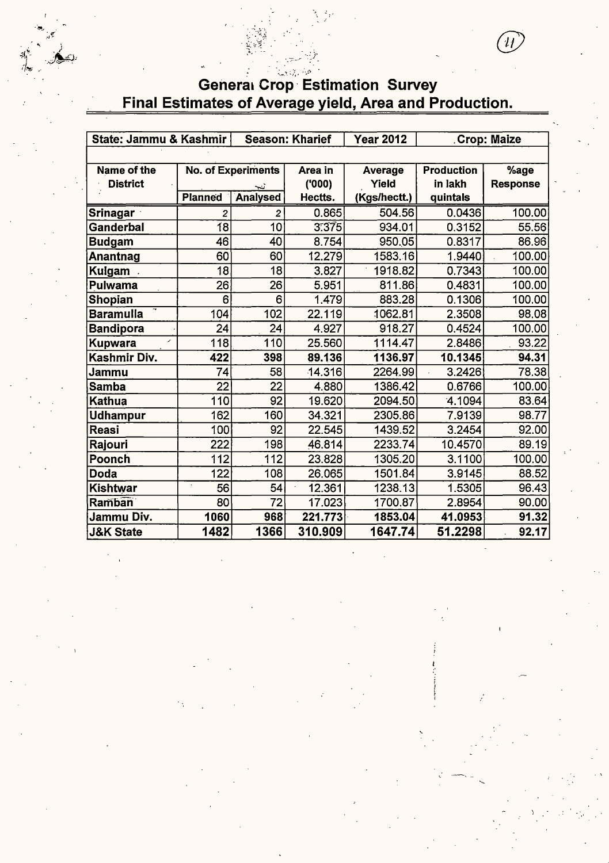

. .,. *\_-1"* 

### Genera• Crop· Estimation Survey Final Estimates of Average yield, **Area** and Production .

| State: Jammu & Kashmir |                |                    | <b>Season: Kharief</b> | <b>Year 2012</b> |                   | <b>Crop: Maize</b> |
|------------------------|----------------|--------------------|------------------------|------------------|-------------------|--------------------|
|                        |                |                    |                        |                  |                   |                    |
| Name of the            |                | No. of Experiments | Area in                | Average          | <b>Production</b> | %age               |
| <b>District</b>        | نہ             |                    | (000)                  | Yield            | in lakh           | <b>Response</b>    |
|                        | <b>Planned</b> | Analysed           | Hectts.                | (Kgs/hectt.)     | quintals          |                    |
| <b>Srinagar</b>        | 2              | 2                  | 0.865                  | 504.56           | 0.0436            | 100.00             |
| <b>Ganderbal</b>       | 18             | 10 <sub>1</sub>    | 3.375                  | 934.01           | 0.3152            | 55.56              |
| <b>Budgam</b>          | 46             | 40                 | 8.754                  | 950.05           | 0.8317            | 86.96              |
| Anantnag               | 60             | 60                 | 12.279                 | 1583.16          | 1.9440            | 100.00             |
| Kulgam.                | 18             | 18                 | 3.827                  | 1918.82          | 0.7343            | 100.00             |
| <b>Pulwama</b>         | 26             | 26                 | 5.951                  | 811.86           | 0.4831            | 100.00             |
| Shopian                | 6              | 6                  | 1.479                  | 883.28           | 0.1306            | 100.00             |
| <b>Baramulla</b>       | 104            | 102                | 22.119                 | 1062.81          | 2.3508            | 98.08              |
| <b>Bandipora</b>       | 24             | 24                 | 4.927                  | 918.27           | 0.4524            | 100.00             |
| Kupwara                | 118            | 110                | 25.560                 | 1114.47          | 2.8486            | 93.22              |
| Kashmir Div.           | 422            | 398                | 89.136                 | 1136.97          | 10.1345           | 94.31              |
| Jammu                  | 74             | 58                 | 14.316                 | 2264.99          | 3.2426            | 78.38              |
| Samba                  | 22             | 22                 | 4.880                  | 1386.42          | 0.6766            | 100.00             |
| Kathua                 | 110            | 92                 | 19.620                 | 2094.50          | 4.1094            | 83.64              |
| <b>Udhampur</b>        | 162            | 160                | 34.321                 | 2305.86          | 7.9139            | 98.77              |
| <b>Reasi</b>           | 100            | 92                 | 22.545                 | 1439.52          | 3.2454            | 92.00              |
| Rajouri                | 222            | 198                | 46.814                 | 2233.74          | 10.4570           | 89.19              |
| Poonch                 | 112            | 112                | 23.828                 | 1305.20          | 3.1100            | 100.00             |
| <b>Doda</b>            | 122            | 108                | 26.065                 | 1501.84          | 3.9145            | 88.52              |
| Kishtwar               | 56             | 54                 | 12.361                 | 1238.13          | 1.5305            | 96.43              |
| Ramban                 | 80             | 72                 | 17.023                 | 1700.87          | 2.8954            | 90.00              |
| Jammu Div.             | 1060           | 968                | 221.773                | 1853.04          | 41.0953           | 91.32              |
| <b>J&amp;K State</b>   | 1482           | 1366               | 310.909                | 1647.74          | 51.2298           | 92.17              |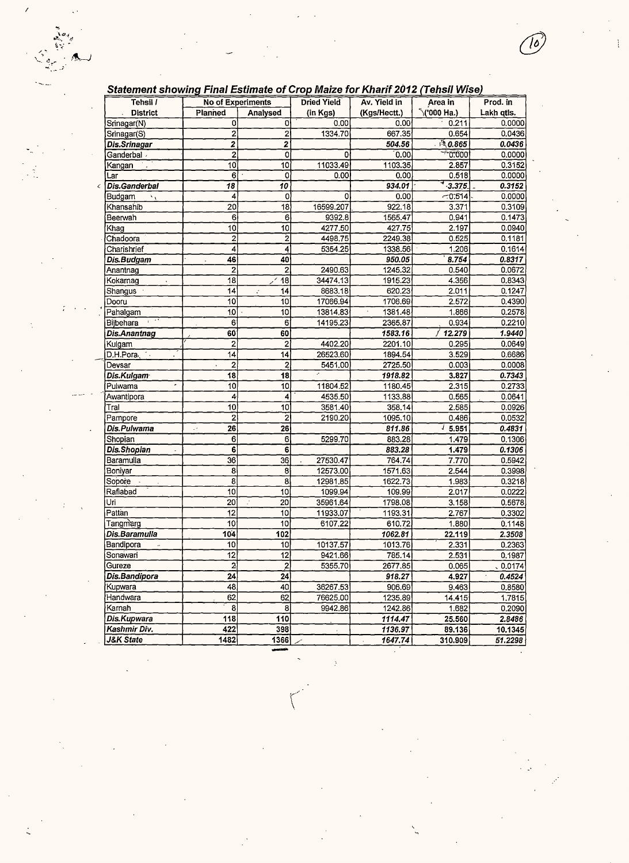|             | Tehsil /                    | <b>No of Experiments</b>                   |                         | Dried Yield         | Av. Yield in       | Area in          | Prod. in          |
|-------------|-----------------------------|--------------------------------------------|-------------------------|---------------------|--------------------|------------------|-------------------|
|             | <b>District</b>             | Planned                                    | Analysed                | (in Kgs)            | (Kgs/Hectt.)       | ົ∖('000 Ha.)     | Lakh qtls.        |
| Srinagar(N) |                             | 0                                          | 0                       | 0.00                | 0.00               | 0.211            | 0.0000            |
| Srinagar(S) |                             | $\overline{2}$                             | $\overline{\mathbf{c}}$ | 1334.70             | 667.35             | 0.654            | 0.0436            |
|             | Dis.Srinagar                | $\overline{2}$                             | $\overline{2}$          |                     | 504.56             | .40.865          | 0.0436            |
| Ganderbal / |                             | $\mathbf{2}$                               | 0                       | 0                   | 0.00               | $-0.000 -$       | 0.0000            |
| Kangan      | $\sim 10^{-1}$              | $\overline{10}$                            | 10 <sub>1</sub>         | 11033.49            | 1103.35            | 2.857            | 0.3152            |
| Lar         |                             | 6 <sub>1</sub>                             | <sub>0</sub>            | 0.00                | 0.00               | 0.518            | 0.0000            |
| Ć.          | Dis.Ganderbal               | 18                                         | 10                      |                     | 934.01             | $-3.375$         | 0.3152            |
| Budgam      | $\mathcal{N}_{\mathcal{N}}$ | 4                                          | $\overline{0}$          | 0                   | 0.00               | $-0.514$         | 0.0000            |
| Khansahib   |                             | 20                                         | 18                      | 16599.207           | 922.18             | 3.371            | 0.3109            |
| Beerwah     |                             | 6                                          | 6                       | 9392.8              | 1565.47            | 0.941            | 0.1473            |
| Khag        |                             | $\overline{10}$                            | 10                      | 4277.50             | 427.75             | 2.197            | 0.0940            |
| Chadoora    |                             | $\overline{2}$                             | $\mathbf{2}$            | 4498.75             | 2249.38            | 0.525            | 0.1181            |
| Charishrief |                             | $\vert$                                    | $\vert$                 | 5354.25             | 1338.56            | 1.206            | 0.1614            |
|             | Dis.Budgam                  | 46                                         | 40                      |                     | 950.05             | 8.754            | 0.8317            |
| Anantnag    |                             | $\overline{2}$                             | $\mathbf{2}$            | 2490.63             | 1245.32            | 0.540            | 0.0672            |
| Kokarnag    |                             | 18                                         | $\overline{18}$         | 34474.13            | 1915.23            | 4.356            | 0.8343            |
|             |                             | 14                                         |                         |                     | 620.23             |                  | 0.1247            |
| Shangus ·   |                             | $\overline{10}$                            | 14<br>V.                | 8683.18             |                    | 2.011            |                   |
| Dooru       |                             |                                            | 10                      | 17066.94            | 1706.69            | 2.572            | 0.4390            |
| Pahalgam    |                             | 10 <sup>1</sup>                            | 10                      | 13814.83            | 1381.48            | 1.866            | 0.2578            |
| Bijbehara   |                             | 6 <sup>1</sup>                             | 6                       | 14195.23            | 2365.87            | 0.934            | 0.2210            |
|             | Dis.Anantnag                | 60                                         | 60                      |                     | 1583.16            | 12.279           | 1.9440            |
| Kulgam      |                             | 2                                          | 2                       | 4402.20             | 2201.10            | 0.295            | 0.0649            |
| D.H.Pora.   |                             | 14                                         | $\overline{14}$         | 26523.60            | 1894.54            | 3.529            | 0.6686            |
| Devsar      |                             | $\overline{2}$                             | $\overline{2}$          | 5451.00             | 2725.50            | 0.003            | 0.0008            |
|             | Dis.Kulgam                  | 18                                         | 18                      |                     | 1918.82            | 3.827            | 0.7343            |
| Pulwama     |                             | 10                                         | 10 <sub>1</sub>         | 11804.52            | 1180.45            | 2.315            | 0.2733            |
| Awantipora  |                             | 4                                          | 4                       | 4535.50             | 1133.88            | 0.565            | 0.0641            |
| Tral        |                             | 10                                         | 10                      | 3581.40             | 358.14             | 2.585            | 0.0926            |
| Pampore     |                             | $\mathbf{2}$                               | $\overline{2}$          | 2190.20             | 1095.10            | 0.486            | 0.0532            |
|             | Dis.Pulwama                 | $\overline{26}$<br>$\mathcal{C}^{\bullet}$ | 26                      |                     | 811.86             | 5.951            | 0.4831            |
| Shopian     |                             | $6 \,$                                     | 6                       | 5299.70             | 883.28             | 1.479            | 0.1306            |
|             | Dis.Shopian                 | 6 <sup>1</sup>                             | 6                       |                     | 883.28             | 1.479            | 0.1306            |
| Baramulla   |                             | 36                                         | 36                      | 27530.47            | 764.74             | 7.770            | 0.5942            |
| Boniyar     |                             | 8 <sup>1</sup>                             | 8                       | 12573.00            | 1571.63            | 2.544            | 0.3998            |
| Sopore      |                             | $\lvert 8 \rvert$                          | 8                       | 12981.85            | 1622.73            | 1.983            | 0.3218            |
| Rafiabad    |                             | 10 <sub>1</sub>                            | 10                      | 1099.94             | 109.99             | 2.017            | 0.0222            |
| Uri         |                             | 20 <sub>1</sub>                            | 20                      | 35961.64            | 1798.08            | 3.158            | 0.5678            |
| Pattan      |                             | 2                                          | 10 <sub>l</sub>         | 11933.07            | 1193.31            | 2.767            | 0.3302            |
| Tangmarg    |                             | 10 <sup>1</sup>                            | 10                      | 6107.22             | 610.72             | 1.880            | 0.1148            |
|             | Dis.Baramulla               | 104                                        | 102                     |                     | 1062.81            | 22.119           | 2.3508            |
| Bandipora   |                             | 10                                         | 10 <sub>1</sub>         | 10137.57            | 1013.76            | 2.331            | 0.2363            |
| Sonawari    |                             | $\overline{12}$                            | 12                      | 9421.66             | 785.14             | 2.531            | 0.1987            |
| Gureze      |                             | $\mathbf{2}$                               | $\overline{2}$          | 5355.70             | 2677.85            | 0.065            | 0.0174            |
|             | Dis.Bandipora               | 24                                         | $\overline{24}$         |                     | 918.27             | 4.927            | 0.4524            |
| Kupwara     |                             | 48                                         | 40                      | 36267.53            | 906.69             | 9.463            | 0.8580            |
| Handwara    |                             | 62                                         | 62                      | 76625.00            | 1235.89            | 14.415           | 1.7815            |
| Karnah      |                             | $\infty$                                   | 8                       | 9942.86             | 1242.86            | 1.682            | 0.2090            |
|             |                             |                                            |                         |                     |                    |                  |                   |
|             |                             |                                            |                         |                     |                    |                  |                   |
|             | Dis.Kupwara<br>Kashmir Div. | 118<br>422                                 | 110<br>398              | $\bar{\phantom{a}}$ | 1114.47<br>1136.97 | 25.560<br>89.136 | 2.8486<br>10.1345 |

 $\frac{1}{2} \sum_{i=1}^{n} \frac{1}{i!} \sum_{j=1}^{n} \frac{1}{j!} \sum_{j=1}^{n} \frac{1}{j!} \sum_{j=1}^{n} \frac{1}{j!} \sum_{j=1}^{n} \frac{1}{j!} \sum_{j=1}^{n} \frac{1}{j!} \sum_{j=1}^{n} \frac{1}{j!} \sum_{j=1}^{n} \frac{1}{j!} \sum_{j=1}^{n} \frac{1}{j!} \sum_{j=1}^{n} \frac{1}{j!} \sum_{j=1}^{n} \frac{1}{j!} \sum_{j=1}^{n} \frac{1}{$ 

 $\mathcal{L}$ 

 $\bigcirc$ 

 $\frac{1}{\sqrt{2}}$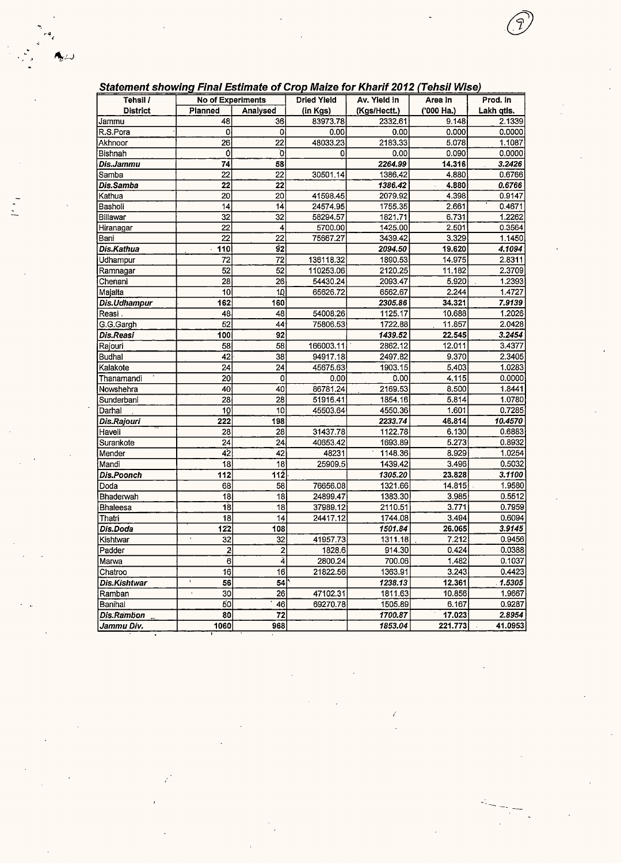| Statement Showing Final Estimate of Crop Maize for Knahl 2012 (Tensil Wise)<br>Tehsil / | <b>No of Experiments</b> |                 | <b>Dried Yield</b> | Av. Yield in | Area in    | Prod. in   |
|-----------------------------------------------------------------------------------------|--------------------------|-----------------|--------------------|--------------|------------|------------|
| <b>District</b>                                                                         | <b>Planned</b>           | Analysed        | (in Kgs)           | (Kgs/Hectt.) | ('000 Ha.) | Lakh qtls. |
| Jammu                                                                                   | 48                       | 36              | 83973.78           | 2332.61      | 9.148      | 2.1339     |
| R.S.Pora                                                                                | 0                        | 0               | 0.00               | 0.00         | 0.000      | 0.0000     |
| Akhnoor                                                                                 | 26                       | 22              | 48033.23           | 2183.33      | 5.078      | 1.1087     |
| Bishnah                                                                                 | Ò                        | Ó               | 0                  | 0.00         | 0.090      | 0.0000     |
| Dis.Jammu                                                                               | 74                       | 58              |                    | 2264.99      | 14.316     | 3.2426     |
| Samba                                                                                   | 22                       | 22              | 30501.14           | 1386.42      | 4.880      | 0.6766     |
| Dis.Samba                                                                               | $\overline{22}$          | 22              |                    | 1386.42      | 4.880      | 0.6766     |
| Kathua                                                                                  | 20                       | 20              | 41598.45           | 2079.92      | 4.398      | 0.9147     |
| Basholi                                                                                 | 14                       | 14              | 24574.95           | 1755.35      | 2.661      | 0.4671     |
| Billawar                                                                                | 32                       | 32              | 58294.57           | 1821.71      | 6.731      | 1.2262     |
| Hiranagar                                                                               | 22                       | 4               | 5700.00            | 1425.00      | 2.501      | 0.3564     |
| Bani                                                                                    | 22                       | 22              | 75667.27           | 3439.42      | 3.329      | 1.1450     |
| Dis.Kathua                                                                              | 110                      | 92              |                    | 2094.50      | 19.620     | 4.1094     |
| Udhampur                                                                                | 72                       | $\overline{72}$ | 136118.32          | 1890.53      | 14.975     | 2.8311     |
| Ramnagar                                                                                | 52                       | 52              | 110253.06          | 2120.25      | 11.182     | 2.3709     |
| Chenani                                                                                 | 28                       | 26              | 54430.24           | 2093.47      | 5.920      | 1.2393     |
| Majalta                                                                                 | 10                       | 10              | 65626.72           | 6562.67      | 2.244      | 1.4727     |
| Dis.Udhampur                                                                            | 162                      | 160             |                    | 2305.86      | 34.321     | 7.9139     |
| Reasi.                                                                                  | 48                       | 48              | 54008.26           | 1125.17      | 10.688     | 1.2026     |
| G.G.Gargh                                                                               | 52                       | 44              | 75806.53           | 1722.88      | 11.857     | 2.0428     |
| Dis.Reasi                                                                               | 100                      | 92              |                    | 1439.52      | 22.545     | 3.2454     |
| Rajouri                                                                                 | 58                       | 58              | 166003.11          | 2862.12      | 12.011     | 3.4377     |
| Budhal                                                                                  | 42                       | 38              | 94917.18           | 2497.82      | 9.370      | 2.3405     |
| Kalakote                                                                                | 24                       | 24              | 45675.63           | 1903.15      | 5.403      | 1.0283     |
| Thanamandi                                                                              | 20                       | 0               | 0.00               | 0.00         | 4.115      | 0.0000     |
| Nowshehra                                                                               | 40                       | 40              | 86781.24           | 2169.53      | 8.500      | 1.8441     |
| Sunderbani                                                                              | 28                       | $\overline{28}$ | 51916.41           | 1854.16      | 5.814      | 1.0780     |
| Darhal                                                                                  | 10                       | 10              | 45503.64           | 4550.36      | 1.601      | 0.7285     |
| Dis.Rajouri                                                                             | 222                      | 198             |                    | 2233.74      | 46.814     | 10.4570    |
| Haveli                                                                                  | 28                       | 28              | 31437.78           | 1122.78      | 6.130      | 0.6883     |
| Surankote                                                                               | 24                       | 24              | 40653.42           | 1693.89      | 5.273      | 0.8932     |
| Mender                                                                                  | 42                       | 42              | 48231              | 1148.36      | 8.929      | 1.0254     |
| Mandi                                                                                   | 18                       | 18              | 25909.5            | 1439.42      | 3.496      | 0.5032     |
| <b>Dis.Poonch</b>                                                                       | 112                      | 112             |                    | 1305.20      | 23.828     | 3.1100     |
| Doda                                                                                    | 68                       | 58              | 76656.08           | 1321.66      | 14.815     | 1.9580     |
| Bhaderwah                                                                               | 18                       | $\overline{18}$ | 24899.47           | 1383.30      | 3.985      | 0.5512     |
| Bhaleesa                                                                                | 18                       | 18              | 37989.12           | 2110.51      | 3.771      | 0.7959     |
| Thatri                                                                                  | 18                       | 14              | 24417.12           | 1744.08      | 3.494      | 0.6094     |
| Dis.Doda                                                                                | $\overline{122}$         | 108             |                    | 1501.84      | 26.065     | 3.9145     |
| Kishtwar                                                                                | $\hat{\textbf{r}}$<br>32 | 32              | 41957.73           | 1311.18      | 7.212      | 0.9456     |
| Padder                                                                                  | $\overline{2}$           | $\mathbf{2}$    | 1828.6             | 914.30       | 0.424      | 0.0388     |
| Marwa                                                                                   | $\overline{6}$           | $\overline{4}$  | 2800.24            | 700.06       | 1.482      | 0.1037     |
| Chatroo                                                                                 | 16                       | 16              | 21822.56           | 1363.91      | 3.243      | 0.4423     |
| <b>Dis.Kishtwar</b>                                                                     | $\mathbf{1}$<br>56       | 54              |                    | 1238.13      | 12.361     | 1.5305     |
| Ramban                                                                                  | 30                       | 26              | 47102.31           | 1811.63      | 10.856     | 1.9667     |
| Banihal                                                                                 | 50                       | 46              | 69270.78           | 1505.89      | 6.167      | 0.9287     |
| Dis.Rambon                                                                              | 80                       | 72              |                    | 1700.87      | 17.023     | 2.8954     |
| Jammu Div.                                                                              | 1060                     | 968             |                    | 1853.04      | 221.773    | 41.0953    |

 $\label{eq:2.1} \frac{1}{\sqrt{2}}\sum_{i=1}^n\frac{1}{\sqrt{2}}\sum_{i=1}^n\frac{1}{\sqrt{2}}\sum_{i=1}^n\frac{1}{\sqrt{2}}\sum_{i=1}^n\frac{1}{\sqrt{2}}\sum_{i=1}^n\frac{1}{\sqrt{2}}\sum_{i=1}^n\frac{1}{\sqrt{2}}\sum_{i=1}^n\frac{1}{\sqrt{2}}\sum_{i=1}^n\frac{1}{\sqrt{2}}\sum_{i=1}^n\frac{1}{\sqrt{2}}\sum_{i=1}^n\frac{1}{\sqrt{2}}\sum_{i=1}^n\frac$ 

 $\mathcal{F}^{\text{max}}_{\text{max}}$ 

 $\mathcal{O}_{\mathcal{A}}$  .

#### **Maize for Kharif 2012 (Tehsil Wise)**

 $\label{eq:2.1} \begin{split} \mathcal{F}^{(1)}(t) = \mathcal{F}^{(1)}(t) \end{split}$ 

 $\sim$ 

 $\label{eq:2} \begin{split} \frac{d}{dt} \frac{d}{dt} \left( \frac{d}{dt} \right) & = \frac{1}{2} \left( \frac{d}{dt} \right) \frac{d}{dt} \left( \frac{d}{dt} \right) \frac{d}{dt} \, . \end{split}$ 

 $\mathcal{L}^{\text{max}}$ 

*(j)* 

 $\frac{1}{2}$ 

 $\frac{1}{\sqrt{2}}\sum_{i=1}^{n} \frac{1}{\sqrt{2}}\left(\frac{1}{\sqrt{2}}\right)^2\left(\frac{1}{\sqrt{2}}\right)^2$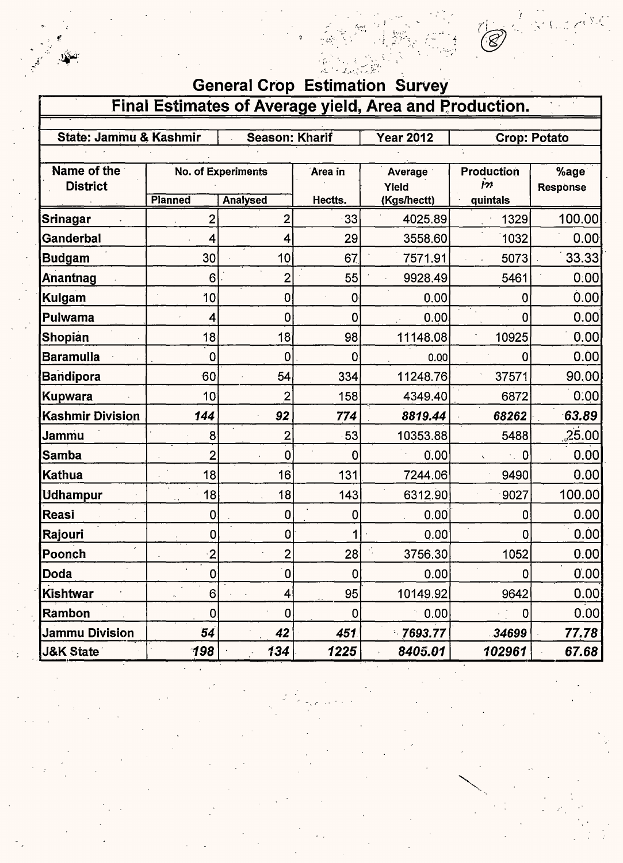|                         |                         |                           | 退 しょいしゅ 激く   | <b>General Crop Estimation Survey</b>                  |                 |                         |
|-------------------------|-------------------------|---------------------------|--------------|--------------------------------------------------------|-----------------|-------------------------|
|                         |                         |                           |              | Final Estimates of Average yield, Area and Production. |                 |                         |
| State: Jammu & Kashmir  |                         | <b>Season: Kharif</b>     |              | <b>Year 2012</b>                                       |                 | <b>Crop: Potato</b>     |
| Name of the             |                         |                           |              |                                                        |                 |                         |
| <b>District</b>         |                         | <b>No. of Experiments</b> | Area in      | Average<br>Yield                                       | Production<br>m | %age<br><b>Response</b> |
|                         | <b>Planned</b>          | <b>Analysed</b>           | Hectts.      | (Kgs/hectt)                                            | quintals        |                         |
| <b>Srinagar</b>         |                         |                           | 33           | 4025.89                                                | 1329            | 100.00                  |
| Ganderbal               |                         |                           | 29           | 3558.60                                                | 1032            | 0.00                    |
| <b>Budgam</b>           | 30                      | 10                        | 67           | 7571.91                                                | 5073            | 33.33                   |
| Anantnag                | 6                       | 2                         | 55           | 9928.49                                                | 5461            | 0.00                    |
| Kulgam                  | 10                      | 0                         | $\mathbf{0}$ | 0.00                                                   | 0               | 0.00                    |
| <b>iPulwama</b>         | 4                       | 0                         | 0            | 0.00                                                   | 0               | 0.00                    |
| <b>Shopian</b>          | 18                      | 18                        | 98           | 11148.08                                               | 10925           | 0.00                    |
| <b>Baramulla</b>        | 0                       | 0                         | 0            | 0.00                                                   | 0               | 0.00                    |
| <b>Bandipora</b>        | 60                      | 54                        | 334          | 11248.76                                               | 37571           | 90,00                   |
| <b>Kupwara</b>          | 10 <sup>°</sup>         | 2                         | 158          | 4349.40                                                | 6872            | 0.00                    |
| <b>Kashmir Division</b> | 144                     | 92                        | 774          | 8819.44                                                | 68262           | 63.89                   |
| <b>Jammu</b>            | 8                       | 2                         | $-53$        | 10353.88                                               | 5488            | .25.00                  |
| <b>Samba</b>            | 2                       | 0                         | O            | 0.00                                                   | 0               | 0.00                    |
| Kathua                  | 18                      | 16                        | 131          | 7244.06                                                | 9490            | 0.00                    |
| Udhampur                | 18                      | 18                        | 143          | 6312.90                                                | $-9027$         | 100.00                  |
| Reasi                   | 0                       | 0                         | 0            | 0.00                                                   | 0               | 0.00                    |
| Rajouri                 | 0                       | 0                         | 1            | 0.00                                                   | $\mathbf 0$     | 0.00                    |
| $\lambda$<br>Poonch     | $\mathbf{2}$            | 2                         | 28           | 3756.30                                                | 1052            | 0.00                    |
| Doda                    | 0                       | 0                         | 0            | 0.00                                                   | 0               | 0.00                    |
| Kishtwar                | 6<br>$\epsilon_{\rm g}$ | 4                         | 95           | 10149.92                                               | 9642            | 0.00                    |
| Rambon                  | 0                       | 0                         | 0            | 0.00                                                   | 0               | 0.00                    |
| Jammu Division          | 54                      | 42                        | 451          | $-7693.77$                                             | 34699           | 77.78                   |
| <b>J&amp;K State</b>    | 198                     | 134                       | 1225         | 8405.01                                                | 102961          | 67.68                   |

Contraction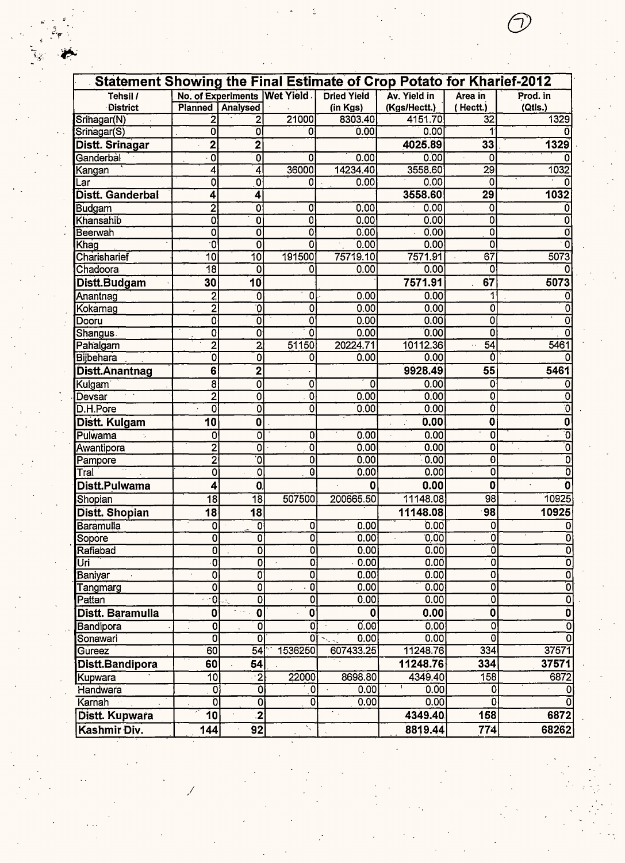| <b>Statement Showing the Final Estimate of Crop Potato for Kharief-2012</b> |                           |                           |                              |                    |              |                         |                           |
|-----------------------------------------------------------------------------|---------------------------|---------------------------|------------------------------|--------------------|--------------|-------------------------|---------------------------|
| Tehsil /                                                                    |                           |                           | No. of Experiments Wet Yield | <b>Dried Yield</b> | Av. Yield in | Area in                 | Prod. in                  |
| <b>District</b>                                                             | Planned                   | Analysed                  |                              | (in Kgs)           | (Kgs/Hectt.) | (Hectt.)                | (Qtis.)                   |
| Srinagar(N)                                                                 | $\overline{2}$            | 2                         | 21000                        | 8303.40            | 4151.70      | $\overline{32}$         | 1329                      |
| Srinagar(S)                                                                 | 0                         | O                         | 0                            | 0.00               | 0.00         | 1                       |                           |
| Distt. Srinagar                                                             | 2                         | $\overline{2}$            |                              |                    | 4025.89      | 33                      | 1329                      |
| Ganderbal                                                                   | Ō                         | $\overline{\mathbf{0}}$   | $\overline{0}$               | 0.00               | 0.00         | 0                       |                           |
| Kangan                                                                      | 4                         | 4                         | 36000                        | 14234.40           | 3558.60      | $\overline{29}$         | 1032                      |
| Lar                                                                         | Ō                         | 0                         | 0                            | 0.00               | 0.00         | 0                       |                           |
| Distt. Ganderbal                                                            | 4                         | 4                         |                              |                    | 3558.60      | $\overline{29}$         | 1032                      |
| Budgam                                                                      | 2                         | 0                         | 0                            | 0.00               | 0.00         | 0                       | Ω                         |
| Khansahib                                                                   | Õ                         | $\overline{0}$            | Ō                            | 0.00               | 0.00         | 0                       |                           |
| Beerwah                                                                     | $\overline{\mathbf{o}}$   | $\overline{0}$            | 0                            | 0.00               | 0.00         | ō                       |                           |
| Khag                                                                        | $\overline{\mathbf{0}}$   | $\overline{\mathfrak{o}}$ | 0                            | 0.00               | 0.00         | $\overline{0}$          |                           |
| Charisharief                                                                | $\overline{10}$           | $\overline{10}$           | 191500                       | 75719.10           | 7571.91      | $\overline{67}$         | 5073                      |
| Chadoora                                                                    | 18                        | $\overline{0}$            | 0                            | 0.00               | 0.00         | $\overline{0}$          |                           |
| Distt.Budgam                                                                | 30                        | 10                        |                              |                    | 7571.91      | 67                      | 5073                      |
| Anantnag                                                                    | 2                         | Ō                         | 0                            | 0.00               | 0.00         | 1                       | Ω                         |
| Kokarnag                                                                    | $\overline{2}$            | ้0                        | 0                            | 0.00               | 0.00         | 0                       | Ω                         |
| Dooru                                                                       | Ó                         | $\overline{\mathfrak{o}}$ | 0                            | 0.00               | 0.00         | 0                       | Ω                         |
| Shangus.                                                                    | Ò                         | $\overline{\mathfrak{o}}$ | ō                            | 0.00               | 0.00         | 0                       |                           |
| Pahalgam                                                                    | $\overline{2}$            | $\overline{\mathbf{2}}$   | 51150                        | 20224.71           | 10112.36     | 54<br>ò.                | 5461                      |
| Bijbehara                                                                   | Ō                         | 0                         | ٥                            | 0.00               | 0.00         | 0                       |                           |
| Distt.Anantnag                                                              | $\overline{6}$            | $\mathbf{2}$              |                              |                    | 9928.49      | 55                      | 5461                      |
| Kulgam <sup>®</sup>                                                         | $\overline{\mathbf{8}}$   | $\overline{0}$            | 0                            | 0                  | 0.00         | 0                       |                           |
| Devsar                                                                      | $\overline{2}$            | $\overline{0}$            | $\overline{0}$               | 0.00               | 0.00         | 0                       |                           |
| D.H.Pore                                                                    | Ö                         | $\overline{\mathfrak{o}}$ | 0                            | 0.00               | 0.00         | Ö                       | ΰ                         |
| Distt. Kulgam                                                               | 10                        | 0                         |                              |                    | 0.00         | $\overline{\mathbf{o}}$ | 0                         |
| Pulwama                                                                     | 0                         | 0                         | 0                            | 0.00               | 0.00         | 0                       | ō                         |
| Awantipora                                                                  | $\overline{2}$            | 0                         | $\overline{0}$               | 0.00               | 0.00         | 0                       | 0                         |
| Pampore                                                                     | $\overline{2}$            | ō                         | 0                            | 0.00               | 0.00         | Ò                       | 0                         |
| Tral                                                                        | $\overline{\mathfrak{o}}$ | $\overline{\mathfrak{o}}$ | Ö                            | 0.00               | 0.00         | ō                       | 0                         |
| Distt.Pulwama                                                               | 4                         | $\mathbf{0}$              |                              | 0                  | 0.00         | 0                       |                           |
| Shopian                                                                     | $\overline{18}$           | $\overline{18}$           | 507500                       | 200665.50          | 11148.08     | 98                      | 10925                     |
| Distt. Shopian                                                              | 18                        | 18                        |                              |                    | 11148.08     | 98                      | 10925                     |
| Baramulla                                                                   | 0                         | $\overline{\mathbf{o}}$   | $\overline{0}$               | 0.00               | 0.00         | 0                       | 0                         |
| Sopore                                                                      | $\overline{0}$            | 0                         | $\overline{\mathbf{o}}$      | 0.00               | 0.00         | $\mathbf{0}$            | $\overline{0}$            |
| Rafiabad                                                                    | 0                         | $\overline{\mathbf{o}}$   | $\overline{0}$               | 0.00               | 0.00         | 0                       | $\overline{0}$            |
| Uri                                                                         | $\overline{\mathbf{0}}$   | $\overline{\mathfrak{o}}$ | $\overline{0}$               | 0.00               | 0.00         | 0                       | $\overline{\mathfrak{o}}$ |
| Baniyar                                                                     | $\overline{\mathbf{o}}$   | Ō                         | Ō                            | 0.00               | 0.00         | $\overline{0}$          | $\overline{0}$            |
| Tangmarg                                                                    | 0                         | $\overline{\mathfrak{o}}$ | $\overline{\mathfrak{o}}$    | 0.00               | 0.00         | Ö                       | $\overline{0}$            |
| Pattan                                                                      | 0                         | $\overline{o}$            | $\overline{0}$               | 0.00               | 0.00         | 0                       | $\overline{0}$            |
| Distt. Baramulla                                                            | 0                         | $\mathbf 0$               | 0                            | 0                  | 0.00         | $\overline{\mathbf{0}}$ | $\overline{0}$            |
| Bandipora                                                                   | 0                         | Ő                         | Ō                            | 0.00               | 0.00         | 0                       | Ő                         |
| Sonawari                                                                    | $\overline{\mathfrak{o}}$ | 0                         | [O]                          | 0.00               | 0.00         | 0                       | Ò                         |
| Gureez                                                                      | $\overline{60}$           | 54                        | 1536250                      | 607433.25          | 11248.76     | 334                     | 37571                     |
| Distt.Bandipora                                                             | 60                        | 54                        |                              |                    | 11248.76     | 334                     | 37571                     |
| Kupwara                                                                     | $\overline{10}$           | $\overline{2}$            | 22000                        | 8698.80            | 4349.40      | 158                     | 6872                      |
| Handwara                                                                    | $\overline{0}$            | $\overline{0}$            | $\overline{0}$               | 0.00               | 0.00         | $\mathbf 0$             | 0                         |
| Karnah                                                                      | ō                         | $\overline{0}$            | $\overline{0}$               | 0.00               | 0.00         | $\overline{0}$          | OI                        |
| Distt. Kupwara                                                              | 10                        | $\mathbf{2}$              |                              | ΥW.                | 4349.40      | 158                     | 6872                      |
| Kashmir Div.                                                                | 144                       | $\overline{92}$           | N                            |                    | 8819.44      | 774                     | 68262                     |

/

 $\bigcirc$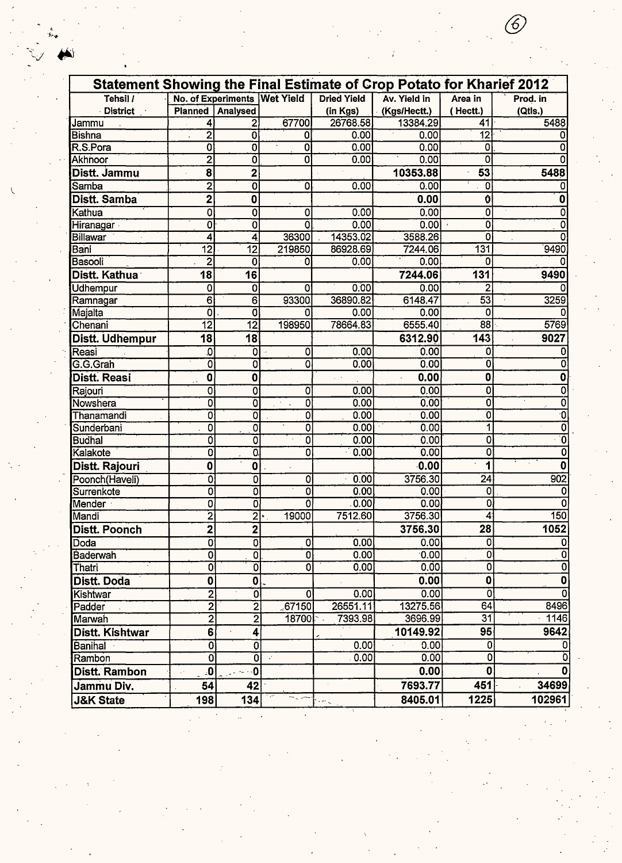$\sqrt{2}$ 

| <b>Statement Showing the Final Estimate of Crop Potato for Kharief 2012</b> |                           |                           |                              |                    |              |                         |                           |  |  |  |  |
|-----------------------------------------------------------------------------|---------------------------|---------------------------|------------------------------|--------------------|--------------|-------------------------|---------------------------|--|--|--|--|
| Tehsil /                                                                    |                           |                           | No. of Experiments Wet Yield | <b>Dried Yield</b> | Av. Yield in | Area in                 | Prod. in                  |  |  |  |  |
| <b>District</b>                                                             | <b>Planned</b>            | Analysed                  |                              | (in Kgs)           | (Kgs/Hectt.) | (Hectt.)                | (Qtls.)                   |  |  |  |  |
| Jammu                                                                       | 4                         | $\overline{2}$            | 67700                        | 26768.58           | 13384.29     | 41                      | 5488                      |  |  |  |  |
| <b>Bishna</b>                                                               | $\mathbf{z}$              | 0                         | 0                            | 0.00               | 0.00         | $\overline{12}$         | 0                         |  |  |  |  |
| R.S.Pora                                                                    | $\overline{\mathfrak{o}}$ | $\overline{0}$            | 0                            | 0.00               | 0.00         | 0                       |                           |  |  |  |  |
| Akhnoor                                                                     | $\overline{2}$            | Ō                         | 0                            | 0.00               | 0.00         | 0                       |                           |  |  |  |  |
| Distt. Jammu                                                                | 8                         | $\overline{2}$            |                              |                    | 10353.88     | 53                      | 5488                      |  |  |  |  |
| Samba                                                                       | $\overline{2}$            | 0                         | 0                            | 0.00               | 0.00         | 0                       |                           |  |  |  |  |
| Distt. Samba                                                                | $\overline{\mathbf{2}}$   | 0                         |                              |                    | 0.00         | 0                       | 0                         |  |  |  |  |
| Kathua                                                                      | O                         | 0                         | 0                            | 0.00               | 0.00         | 0                       |                           |  |  |  |  |
| Hiranagar ·                                                                 | $\overline{\mathbf{0}}$   | 0                         | 0                            | 0.00               | 0.00         | 0                       |                           |  |  |  |  |
| <b>Billawar</b>                                                             | 4                         | 4                         | 36300                        | 14353.02           | 3588.26      | 0                       |                           |  |  |  |  |
| Bani                                                                        | $\overline{12}$           | $1\overline{2}$           | 219850                       | 86928.69           | 7244.06      | 131                     | 9490                      |  |  |  |  |
| <b>Basooli</b>                                                              | $\overline{2}$            | 0                         | 0                            | 0.00               | 0.00         | 0                       |                           |  |  |  |  |
| Distt. Kathua                                                               | 18                        | 16                        |                              |                    | 7244.06      | 131                     | 9490                      |  |  |  |  |
| <b>Udhempur</b>                                                             | $\overline{0}$            | 0                         | 0                            | 0.00               | 0.00         | $\overline{\mathbf{2}}$ |                           |  |  |  |  |
| Ramnagar                                                                    | $\overline{6}$            | 6                         | 93300                        | 36890.82           | 6148.47      | $\overline{53}$         | 3259                      |  |  |  |  |
| Majalta                                                                     | $\overline{0}$            | Ō                         | 0                            | 0.00               | 0.00         | 0                       |                           |  |  |  |  |
| Chenani                                                                     | 12                        | 12                        | 198950                       | 78664.83           | 6555.40      | 88                      | 5769                      |  |  |  |  |
| Distt. Udhempur                                                             | 18                        | 18                        |                              |                    | 6312.90      | 143                     | 9027                      |  |  |  |  |
| Reasi                                                                       | $\mathbf{0}$              | 0                         | 0                            | 0.00               | 0.00         | 0                       |                           |  |  |  |  |
| G.G.Grah                                                                    | Ō                         | 0                         | 0                            | 0.00               | 0.00         | 0                       |                           |  |  |  |  |
| Distt. Reasi                                                                | 0                         | 0                         |                              |                    | 0.00         | 0                       | 0                         |  |  |  |  |
| Rajouri                                                                     | Ő                         | 0                         | 0                            | 0.00               | 0.00         | Ò                       | 0                         |  |  |  |  |
| Nowshera                                                                    | 0                         | Ö                         | Ö                            | 0.00               | 0.00         | Ō                       | 0                         |  |  |  |  |
| Thanamandi                                                                  | 0                         | 0                         | 0                            | 0.00               | 0.00         | Ō                       | '0                        |  |  |  |  |
| Sunderbani                                                                  | Ó                         | O                         | 0                            | 0.00               | 0.00         | 1                       | 0                         |  |  |  |  |
| <b>Budhal</b>                                                               | Ó                         | 0                         | o                            | 0.00               | 0.00         | 0                       | O                         |  |  |  |  |
| Kalakote                                                                    | 0                         | O.                        | Ó                            | 0.00               | 0.00         | $\overline{0}$          | 0                         |  |  |  |  |
| Distt. Rajouri                                                              | 0                         | 0                         |                              |                    | 0.00         | 1                       | ŋ                         |  |  |  |  |
| Poonch(Haveli)                                                              | Ő                         | 0                         | Ő                            | 0.00               | 3756.30      | $\overline{24}$         | 902                       |  |  |  |  |
| Surrenkote                                                                  | $\overline{0}$            | ō                         | $\overline{0}$               | 0.00               | 0.00         | 0                       | 0                         |  |  |  |  |
| Mender                                                                      | $\overline{0}$            | Ō                         | 0                            | .0.00              | 0.00         | 0                       | 0                         |  |  |  |  |
| Mandi                                                                       | $\overline{2}$            | $\overline{2}$            | 19000                        | 7512.60            | 3756.30      | 4                       | 150                       |  |  |  |  |
| <b>Distt. Poonch</b>                                                        | $\overline{\mathbf{2}}$   | $\overline{\mathbf{2}}$   |                              |                    | 3756.30      | 28                      | 1052                      |  |  |  |  |
| Doda                                                                        | $\overline{O}$            | 0                         | $\overline{0}$               | 0.00               | 0.00         | 0                       | $\overline{0}$            |  |  |  |  |
| Baderwah                                                                    | $\overline{0}$            | $\overline{0}$            | 0                            | 0.00               | 0.00         | 0                       | $\overline{\mathfrak{o}}$ |  |  |  |  |
| Thatri                                                                      | $\overline{0}$            | $\overline{0}$            | 0                            | 0.00               | 0.00         | Ō                       | $\overline{0}$            |  |  |  |  |
| Distt. Doda                                                                 | 0                         | 0                         |                              |                    | 0.00         | Ö                       | $\overline{\mathbf{0}}$   |  |  |  |  |
| Kishtwar                                                                    | $\overline{2}$            | Ö                         | 0                            | 0.00               | 0.00         | 0                       | $\overline{\mathbf{0}}$   |  |  |  |  |
| Padder                                                                      | $\overline{2}$            | $\overline{2}$            | 67150                        | 26551.11           | 13275.56     | 64                      | 8496                      |  |  |  |  |
| Marwah                                                                      | $\overline{2}$            | 2                         | 18700                        | 7393.98            | 3696.99      | $\overline{31}$         | 1146                      |  |  |  |  |
| Distt. Kishtwar                                                             | 6                         | 4                         |                              |                    | 10149.92     | 95                      | 9642                      |  |  |  |  |
|                                                                             | $\overline{0}$            | Ó                         |                              | 0.00               | 0.00         | 0                       | 0                         |  |  |  |  |
| Banihal                                                                     | $\overline{0}$            | $\overline{\mathfrak{o}}$ | $\mathcal{C}$                | 0.00               | 0.00         | $\overline{0}$          | 0                         |  |  |  |  |
| Rambon                                                                      |                           |                           |                              |                    |              | $\mathbf 0$             |                           |  |  |  |  |
| Distt. Rambon                                                               | $\mathbf{0}$              | $\cdot$ O                 |                              |                    | 0.00         |                         | $\mathbf{0}$              |  |  |  |  |
| Jammu Div.                                                                  | 54                        | 42                        |                              |                    | 7693.77      | 451                     | 34699                     |  |  |  |  |
| <b>J&amp;K State</b>                                                        | 198                       | 134                       | للمرايات                     |                    | 8405.01      | 1225                    | 102961                    |  |  |  |  |

 $\frac{1}{k}$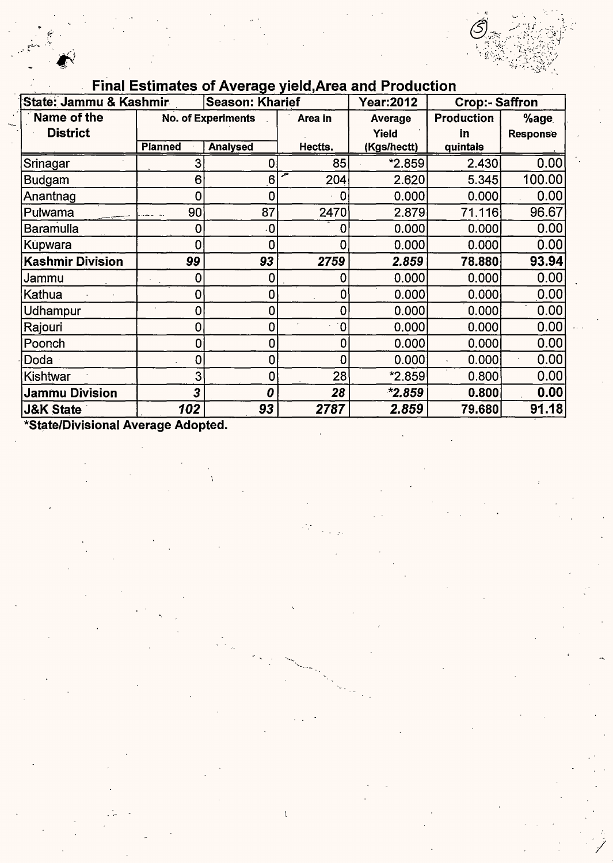

# Final Estimates of Average yield, Area and Production

| State: Jammu & Kashmir  |                | <b>Season: Kharief</b>    |              | <b>Year:2012</b> | <b>Crop:- Saffron</b> |                 |
|-------------------------|----------------|---------------------------|--------------|------------------|-----------------------|-----------------|
| Name of the             |                | <b>No. of Experiments</b> | Area in      | Average          | <b>Production</b>     | $%$ age         |
| <b>District</b>         |                |                           |              | Yield            | in                    | <b>Response</b> |
|                         | <b>Planned</b> | <b>Analysed</b>           | Hectts.      | (Kgs/hectt)      | quintals              |                 |
| Srinagar                | 3              | 0                         | 85           | *2.859           | 2.430                 | 0.00            |
| <b>Budgam</b>           | 6              | 6                         | 204          | 2.620            | 5.345                 | 100.00          |
| Anantnag                | 0              | $\bf{0}$                  | 0            | 0.000            | 0.000                 | 0.00            |
| Pulwama                 | 90             | 87                        | 2470         | 2.879            | 71.116                | 96.67           |
| <b>Baramulla</b>        | 0              | 0.0                       | 0            | 0.000            | 0.000                 | 0.00            |
| Kupwara                 | 0              | $\mathbf 0$               | 0            | 0.000            | 0.000                 | 0.00            |
| <b>Kashmir Division</b> | 99             | 93                        | 2759         | 2.859            | 78.880                | 93.94           |
| Jammu                   | 0              | 0                         | 0            | 0.000            | 0.000                 | 0.00            |
| Kathua                  | 0              | O                         | 0            | 0.000            | 0.000                 | 0.00            |
| Udhampur                | 0              | $\mathbf 0$               | 0            | 0.000            | 0.000                 | 0.00            |
| Rajouri                 | 0              | $\mathbf 0$               | $\mathbf{0}$ | 0.000            | 0.000                 | 0.00            |
| Poonch                  | 0              | $\mathbf 0$               | 0            | 0.000            | 0.000                 | 0.00            |
| Doda ·                  | 0              | $\overline{0}$            | 0            | 0.000            | 0.000                 | 0.00            |
| Kishtwar                | 3              | 0                         | 28           | $*2.859$         | 0.800                 | 0.00            |
| <b>Jammu Division</b>   | 3              | 0                         | 28           | $*2.859$         | 0.800                 | 0.00            |
| <b>J&amp;K State</b>    | 102            | 93                        | 2787         | 2.859            | 79.680                | 91.18           |

 $\bar{L}$ 

\*State/Divisional Average Adopted.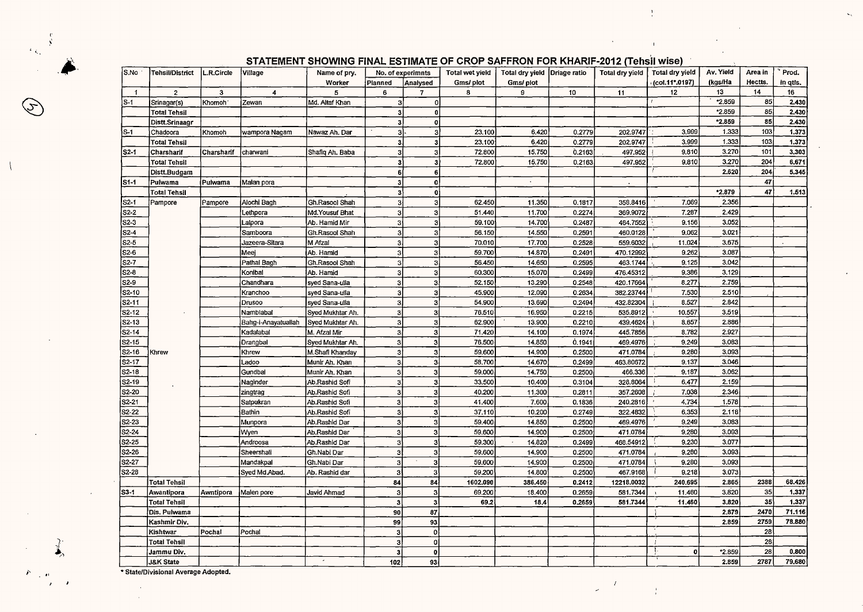|              | STATEMENT SHOWING FINAL ESTIMATE OF CROP SAFFRON FOR KHARIF-2012 (Tehsil wise) |                     |                         |                  |                         |                              |                 |                              |        |                 |                 |           |         |          |
|--------------|--------------------------------------------------------------------------------|---------------------|-------------------------|------------------|-------------------------|------------------------------|-----------------|------------------------------|--------|-----------------|-----------------|-----------|---------|----------|
| lS.No        | Tehsil/District                                                                | L.R.Circle          | <b>Village</b>          | Name of pry.     |                         | No. of experimnts            | Total wet yield | Total dry yield Driage ratio |        | Total dry yield | Total dry yield | Av. Yield | Area in | Prod.    |
|              |                                                                                |                     |                         | Worker           | Planned                 | Analysed                     | Gms/plot        | Gms/plot                     |        |                 | (col.11*.0197)  | (kgs/Ha   | Hectts. | in qtis. |
| $\mathbf{1}$ | $\overline{2}$                                                                 | $\mathbf{3}$        | $\overline{\mathbf{4}}$ | 5                | 6                       | 7                            | 8               | 9                            | 10     | 11              | 12              | 13        | 14      | 16       |
| $S-1$        | Srinagar(s)                                                                    | Khomoh <sup>.</sup> | Zewan                   | Md. Altaf Khan   | 3                       | $\Omega$                     |                 |                              |        |                 |                 | *2.859    | 85      | 2.430    |
|              | <b>Total Tehsil</b>                                                            |                     |                         |                  | $\overline{3}$          | $\mathbf{0}$                 |                 |                              |        |                 |                 | *2.859    | 85      | 2,430    |
|              | Distt.Srinaagr                                                                 |                     |                         |                  | 3                       | $\mathbf{0}$                 |                 |                              |        |                 |                 | *2,859    | 85      | 2.430    |
| $S-1$        | Chadoora                                                                       | Khomoh              | wampora Nagam           | Nawaz Ah. Dar    | 3                       | 3                            | 23.100          | 6,420                        | 0.2779 | 202.9747        | 3,999           | 1.333     | 103     | 1.373    |
|              | <b>Total Tehsil</b>                                                            |                     |                         |                  | 3                       | 3                            | 23,100          | 6.420                        | 0.2779 | 202.9747        | 3.999           | 1.333     | 103     | 1.373    |
| $S2-1$       | Charsharif                                                                     | Charsharif          | charwani                | Shafiq Ah. Baba  | 3                       | $\vert$ 3                    | 72.800          | 15.750                       | 0.2163 | 497.952         | 9.810           | 3.270     | 101     | 3.303    |
|              | <b>Total Tehsil</b>                                                            |                     |                         |                  | $\overline{\mathbf{3}}$ | $\vert$ 3                    | 72.800          | 15.750                       | 0.2163 | 497.952         | 9,810           | 3.270     | 204     | 6.671    |
|              | Distt.Budgam                                                                   |                     |                         |                  | 6                       | 6                            |                 |                              |        |                 |                 | 2.620     | 204     | 5,345    |
| $S1-1$       | Pulwama                                                                        | Pulwama             | Malan pora              |                  | $\mathbf{3}$            | 0                            |                 | $\mathcal{L}_{\mathcal{A}}$  |        | $\bullet$       |                 |           | 47      |          |
|              | <b>Total Tehsil</b>                                                            |                     |                         |                  | 3                       | $\mathbf{0}$                 |                 |                              |        |                 |                 | *2.879    | 47      | 1.513    |
| $S2-1$       | Pampore                                                                        | Pampore             | Alochi Bagh             | Gh.Rasool Shah   | 3                       | $\mathbf{3}$                 | 62.450          | 11.350                       | 0.1817 | 358,8416        | 7.069           | 2.356     |         |          |
| $S2-2$       |                                                                                |                     | Lethpora                | Md.Yousuf Bhat   | 3                       | $\mathbf{3}$                 | 51.440          | 11.700                       | 0.2274 | 369.9072        | 7.287           | 2.429     |         |          |
| $S2-3$       |                                                                                |                     | alpora.                 | Ab. Hamid Mir    | $\overline{3}$          | $\mathbf{3}$                 | 59.100          | 14.700                       | 0.2487 | 464.7552        | 9.156           | 3.052     |         |          |
| S2-4         |                                                                                |                     | Samboora                | Gh.Rasool Shah   | 3                       | $\mathbf{3}$                 | 56.150          | 14.550                       | 0.2591 | 460.0128        | 9.062           | 3.021     |         |          |
| $S2-5$       |                                                                                |                     | Jazeera-Sitara          | M Afzal          | 3                       | 3                            | 70,010          | 17.700                       | 0.2528 | 559.6032        | 11,024          | 3.675     |         |          |
| S2-6         |                                                                                |                     | Meej                    | Ab. Hamid        | $\mathbf{3}$            | 3                            | 59.700          | 14.870                       | 0.2491 | 470.12992       | 9.262           | 3.087     |         |          |
| $S2-7$       |                                                                                |                     | Pathal Bagh             | Gh.Rasool Shah   | 3                       | 3                            | 56.450          | 14.650                       | 0.2595 | 463.1744        | 9.125           | 3.042     |         |          |
| $S2-8$       |                                                                                |                     | Konibal                 | Ab. Hamid        | 3                       | $\mathbf{3}$                 | 60.300          | 15.070                       | 0.2499 | 476.45312       | 9,386           | 3.129     |         |          |
| S2-9         |                                                                                |                     | Chandhara               | syed Sana-ulla   | $\mathbf{3}$            | 3 <sup>1</sup>               | 52.150          | 13.290                       | 0.2548 | 420.17664       | 8.277           | 2.759     |         |          |
| S2-10        |                                                                                |                     | Kranchoo                | syed Sana-ulla   | $\mathbf{3}$            | $\mathbf{3}$                 | 45.900          | 12,090                       | 0.2634 | 382.23744       | 7,530           | 2.510     |         |          |
| S2-11        |                                                                                |                     | Drusoo                  | syed Sana-ulla   | $\mathbf{3}$            | $\mathbf{3}$                 | 54.900          | 13.690                       | 0.2494 | 432.82304       | 8.527           | 2.842     |         |          |
| S2-12        |                                                                                |                     | Namblabal               | Syed Mukhtar Ah. | 3                       | 3 <sup>1</sup>               | 76.510          | 16.950                       | 0.2215 | 535.8912        | 10.557          | 3.519     |         |          |
| S2-13        |                                                                                |                     | Bahg-i-Anayatuallah     | Syed Mukhtar Ah. | $\mathbf{3}$            | $\overline{\mathbf{3}}$      | 62.900          | 13.900                       | 0.2210 | 439,4624        | 8.657           | 2.886     |         |          |
| S2-14        |                                                                                |                     | Kadalabal               | M. Afzal Mir     | $\mathbf{3}$            | $\mathbf{3}$                 | 71.420          | 14.100                       | 0.1974 | 445.7856        | 8.782           | 2.927     |         |          |
| S2-15        |                                                                                |                     | Drangbal                | Syed Mukhtar Ah. | $\mathbf{3}$            | $\mathbf{3}$                 | 76.500          | 14.850                       | Ò.1941 | 469.4976        | 9.249           | 3.083     |         |          |
| S2-16        | Khrew                                                                          |                     | Khrew                   | M.Shafi Khanday  | $\mathbf{3}$            | $\mathbf{3}$                 | 59,600          | 14,900                       | 0.2500 | 471.0784        | 9.280           | 3.093     |         |          |
| S2-17        |                                                                                |                     | Ladoo                   | Munir Ah. Khan   | $\mathbf{3}$            | $\mathbf{3}$                 | 58,700          | 14.670                       | 0.2499 | 463.80672       | 9.137           | 3.046     |         |          |
| S2-18        |                                                                                |                     | Gundbal                 | Munir Ah. Khan   | 3                       | $\mathbf{3}$                 | 59.000          | 14.750                       | 0.2500 | 466.336         | 9.187           | 3.062     |         |          |
| S2-19        |                                                                                |                     | Naginder                | Ab.Rashid Sofi   | $\mathbf{3}$            | $\mathbf{3}$                 | 33.500          | 10.400                       | 0.3104 | 328.8064        | 6,477           | 2.159     |         |          |
| S2-20        |                                                                                |                     | zingtrag                | Ab.Rashid Sofi   | 3                       | $\mathbf{3}$                 | 40.200          | 11.300                       | 0.2811 | 357,2608        | 7.038           | 2.346     |         |          |
| S2-21        |                                                                                |                     | Satpukran               |                  |                         | $\mathbf{3}$                 | 41.400          | 7.600                        |        | 240.2816        | 4,734           | 1.578     |         |          |
| S2-22        |                                                                                |                     |                         | Ab Rashid Sofi   | $\bf{3}$<br>3           |                              |                 | 10.200                       | 0.1836 |                 | 6,353           | 2.118     |         |          |
|              |                                                                                |                     | Bathin                  | Ab.Rashid Sofi   |                         | $\mathbf{3}$                 | 37.110          |                              | 0.2749 | 322.4832        |                 |           |         |          |
| S2-23        |                                                                                |                     | Munpora                 | Ab.Rashid Dar    | 3                       | $\mathbf{3}$                 | 59.400          | 14.850                       | 0.2500 | 469.4976        | 9.249           | 3.083     |         |          |
| S2-24        |                                                                                |                     | Wyen                    | Ab.Rashid Dar    | $\overline{3}$          | $\mathbf{3}$                 | 59.600          | 14.900                       | 0.2500 | 471.0784        | 9.280           | 3.093     |         |          |
| S2-25        |                                                                                |                     | Androosa                | Ab Rashid Dar    | 3 <sup>1</sup>          | 3 <sup>1</sup>               | 59.300          | 14.820                       | 0.2499 | 468.54912       | 9.230           | 3.077     |         |          |
| S2-26        |                                                                                |                     | Sheershali              | Gh.Nabi Dar      | 3                       | $\overline{\mathbf{3}}$      | 59.600          | 14.900                       | 0.2500 | 471.0784        | 9.280           | 3.093     |         |          |
| S2-27        |                                                                                |                     | Mandakpal               | Gh.Nabi Dar      | $\mathbf{3}$            | 3 <sup>1</sup>               | 59.600          | 14.900                       | 0.2500 | 471.0784        | 9.280           | 3,093     |         |          |
| S2-28        |                                                                                |                     | Syed Md.Abad.           | Ab. Rashid dar   | $\mathbf{3}$            | $\vert$ 3                    | 59.200          | 14.800                       | 0.2500 | 467.9168        | 9.218           | 3.073     |         |          |
|              | Total Tehsil                                                                   |                     |                         |                  | 84                      | 84                           | 1602.090        | 386.450                      | 0.2412 | 12218.0032      | 240.695         | 2.865     | 2388    | 68.426   |
| $S3-1$       | Awantipora                                                                     | Awntipora           | Malen pore              | Javid Ahmad      | $\mathbf{3}$            | $\vert$ <sub>3</sub> $\vert$ | 69.200          | 18.400                       | 0.2659 | 581.7344        | 11.460          | 3,820     | 35      | 1.337    |
|              | <b>Total Tehsil</b>                                                            |                     |                         |                  | $\vert$ 3               | $\vert$ 3                    | 69.2            | 18,4                         | 0.2659 | 581.7344        | 11.460          | 3,820     | 35      | 1.337    |
|              | Dis. Pulwama                                                                   |                     |                         |                  | -90 l                   | 87                           |                 |                              |        |                 |                 | 2,879     | 2470    | 71.116   |
|              | Kashmir Div.                                                                   |                     |                         |                  | 99                      | 93                           |                 |                              |        |                 |                 | 2.859     | 2759    | 78,880   |
|              | Kishtwar                                                                       | Pochal              | Pochal                  |                  | 3                       | $\Omega$                     |                 |                              |        |                 |                 |           | 28      |          |
|              | <b>Total Tehsil</b>                                                            |                     |                         |                  | $\mathbf{3}$            | 0                            |                 |                              |        |                 |                 |           | 28      |          |
|              | Jammu Div.                                                                     |                     |                         |                  | 3 <sup>1</sup>          | $\mathbf{0}$                 |                 |                              |        |                 | ٥l              | *2.859    | 28      | 0.800    |
|              | <b>J&amp;K State</b>                                                           |                     |                         | $\epsilon$       | 102                     | 93                           |                 |                              |        |                 |                 | 2.859     | 2787    | 79,680   |

• State/Divisional Average Adopted.

 $\sim$ 

 $\sum_{i=1}^N \frac{1}{\sqrt{2\pi}}\frac{d\theta_i}{\sqrt{2\pi}}$ 

 $\mathcal{A}$ 

 $\frac{1}{2}$  (c)  $\frac{S}{2}$ 

 $\overline{\phantom{a}}$ 

 $\frac{1}{2}$ 

 $\mathbf{r}$ 

 $\lambda$ 

 $\mathbf{v}_\mathrm{c}$ 

 $\mathcal{L}$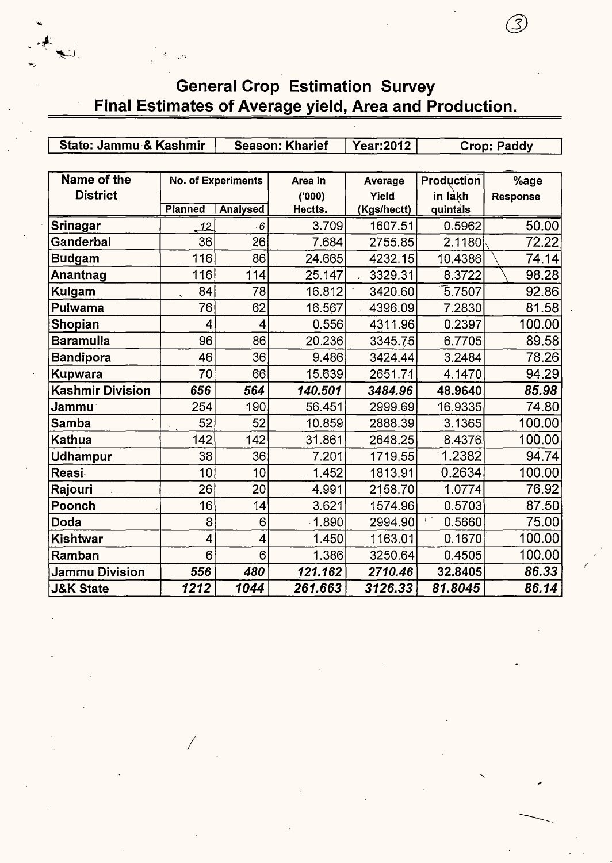*I* 

## **General Crop Estimation Survey Final Estimates of Average yield, Area and Production.**

*(])* 

| State: Jammu & Kashmir  |         |                           | <b>Season: Kharief</b> | <b>Year:2012</b> |                             | Crop: Paddy     |
|-------------------------|---------|---------------------------|------------------------|------------------|-----------------------------|-----------------|
|                         |         |                           |                        |                  |                             |                 |
| Name of the             |         | <b>No. of Experiments</b> | Area in                | Average          | <b>Production</b>           | %age            |
| <b>District</b>         |         |                           | (000)                  | Yield            | in làkh                     | <b>Response</b> |
|                         | Planned | Analysed                  | Hectts.                | (Kgs/hectt)      | quintals                    |                 |
| Srinagar                | 12      | .6                        | 3.709                  | 1607.51          | 0.5962                      | 50.00           |
| Ganderbal               | 36      | 26                        | 7.684                  | 2755.85          | 2.1180                      | 72.22           |
| <b>Budgam</b>           | 116     | 86                        | 24.665                 | 4232.15          | 10.4386                     | 74.14           |
| Anantnag                | 116     | 114                       | 25.147                 | 3329.31          | 8.3722                      | 98.28           |
| ∣Kulgam                 | 84      | 78                        | 16.812                 | 3420.60          | 5.7507                      | 92.86           |
| Pulwama                 | 76      | 62                        | 16.567                 | 4396.09          | 7.2830                      | 81.58           |
| Shopian                 | 4       | 4                         | 0.556                  | 4311.96          | 0.2397                      | 100.00          |
| <b>Baramulla</b>        | 96      | 86                        | 20.236                 | 3345.75          | 6.7705                      | 89.58           |
| <b>Bandipora</b>        | 46      | 36                        | 9.486                  | 3424.44          | 3.2484                      | 78.26           |
| Kupwara                 | 70      | 66                        | 15.639                 | 2651.71          | 4.1470                      | 94.29           |
| <b>Kashmir Division</b> | 656     | 564                       | 140.501                | 3484.96          | 48.9640                     | 85.98           |
| Jammu <sup>r</sup>      | 254     | 190                       | 56.451                 | 2999.69          | 16.9335                     | 74.80           |
| <b>Samba</b>            | 52      | 52                        | 10.859                 | 2888.39          | 3.1365                      | 100.00          |
| Kathua                  | 142     | 142                       | 31.861                 | 2648.25          | 8.4376                      | 100.00          |
| Udhampur                | 38      | 36                        | 7.201                  | 1719.55          | 1.2382                      | 94.74           |
| <b>Reasi</b>            | 10      | 10                        | 1.452                  | 1813.91          | 0.2634                      | 100.00          |
| Rajouri                 | 26      | 20                        | 4.991                  | 2158.70          | 1.0774                      | 76.92           |
| Poonch                  | 16      | 14                        | 3.621                  | 1574.96          | 0.5703                      | 87.50           |
| Doda                    | 8       | 6                         | $-1.890$               | 2994.90          | $\mathbf{F}^{-1}$<br>0.5660 | 75.00           |
| Kishtwar                | 4       | 4                         | 1.450                  | 1163.01          | 0.1670                      | 100.00          |
| Ramban                  | 6       | 6                         | 1.386                  | 3250.64          | 0.4505                      | 100.00          |
| <b>Jammu Division</b>   | 556     | 480                       | 121.162                | 2710.46          | 32.8405                     | 86.33           |
| <b>J&amp;K State</b>    | 1212    | 1044                      | 261.663                | 3126.33          | 81.8045                     | 86.14           |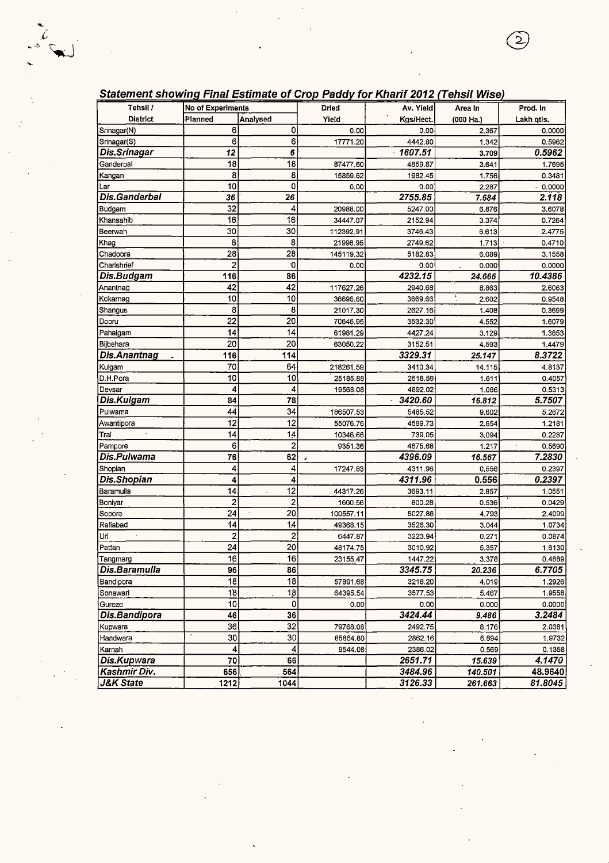| $p$ are ment showing Tinal Launate of Grop Faulty for Knam Lot L (Tensit Wise) |                         |                            |                   |            |           |            |
|--------------------------------------------------------------------------------|-------------------------|----------------------------|-------------------|------------|-----------|------------|
| Tehsil /                                                                       | No of Experiments       |                            | Dried             | Av. Yield  | Area In   | Prod. In   |
| <b>District</b>                                                                | Planned                 | Analysed                   | Yield             | Kgs/Hect.  | (000 Ha.) | Lakh qtls. |
| Srinagar(N)                                                                    | 6                       | 0                          | 0.00              | 0.00       | 2.367     | 0.0000     |
| Srinagar(S)                                                                    | 6                       | 6                          | 17771.20          | 4442.80    | 1.342     | 0.5962     |
| Dis.Srinagar                                                                   | 12                      | 6                          |                   | 1607.51    | 3.709     | 0.5962     |
| Ganderbal                                                                      | 18                      | $\overline{18}$            | 87477.60          | 4859.87    | 3.641     | 1.7695     |
| Kangan                                                                         | 8                       | 8                          | 15859.62          | 1982.45    | 1.756     | 0.3481     |
| Lar                                                                            | 10                      | 0                          | 0.00              | 0.00       | 2.287     | $-0.0000$  |
| <b>Dis Ganderbal</b>                                                           | 36                      | 26                         |                   | 2755.85    | 7.684     | 2.118      |
| Budgam                                                                         | 32                      | 4                          | 20988.00          | 5247.00    | 6.876     | 3.6078     |
| Khansahib                                                                      | 16                      | 16                         | 34447.07          | 2152.94    | 3,374     | 0.7264     |
| Beerwah                                                                        | 30                      | 30                         | 112392.91         | 3746.43    | 6.613     | 2.4775     |
| Khag                                                                           | 8                       | 8                          | 21996.95          | 2749.62    | 1.713     | 0.4710     |
| Chadoora                                                                       | 28                      | 28                         | 145119.32         | 5182.83    | 6.089     | 3.1558     |
| Charishrief                                                                    | 2                       | ٠0                         | 0.00              | 0.00       | 0.000     | 0.0000     |
| Dis.Budgam                                                                     | 116                     | 86                         |                   | 4232.15    | 24.665    | 10.4386    |
| Anantnag                                                                       | 42                      | 42                         | 117627.26         | 2940.68    | 8,863     | 2.6063     |
| Kokarnag                                                                       | 10                      | 10                         | 36696.60          | 3669.66    | 2.602     | 0.9548     |
| Shangus                                                                        | 8                       | 8                          | 21017.30          | 2627.16    | 1.408     | 0.3699     |
| Dooru                                                                          | 22                      | 20                         | 70645.95          | 3532.30    | 4.552     | 1.6079     |
| Pahalgam                                                                       | 14                      | 14                         | 61981.29          | 4427.24    | 3.129     | 1.3853     |
| Bijbehara                                                                      | 20                      | 20                         | 63050.22          | 3152.51    | 4.593     | 1.4479     |
| Dis.Anantnag                                                                   | 116                     | 114                        |                   | 3329.31    | 25.147    | 8.3722     |
| Kulgam                                                                         | 70                      | 64                         | 218261.59         | 3410.34    | 14.115    | 4.8137     |
| D.H.Pora                                                                       | 10                      | 10                         | 25185.88          | 2518.59    | 1.611     | 0.4057     |
| Devsar                                                                         | 4                       | 4                          | 19568.08          | 4892.02    | 1.086     | 0.5313     |
| Dis.Kulgam                                                                     | 84                      | 78                         |                   | $-3420.60$ | 16.812    | 5.7507     |
| Pulwama                                                                        | 44                      | 34                         | 186507.53         | 5485.52    | 9.602     | 5.2672     |
| Awantipora                                                                     | 12                      | 12                         | 55076.76          | 4589.73    | 2.654     | 1.2181     |
| Tral                                                                           | 14                      | 14                         | 10346.66          | 739.05     | 3.094     | 0.2287     |
| Pampore                                                                        | 6                       | $\overline{2}$             | 9351.36           | 4675.68    | 1.217     | 0.5690     |
| Dis.Pulwama                                                                    | 76                      | 62                         | ٠                 | 4396.09    | 16.567    | 7.2830     |
| Shopian                                                                        | 4                       | 4                          | 17247.83          | 4311.96    | 0.556     | 0.2397     |
| Dis.Shopian                                                                    | 4                       | 4                          |                   | 4311.96    | 0.556     | 0.2397     |
| Baramulla                                                                      | 14                      | 12<br>$\ddot{\phantom{a}}$ | 44317.26          | 3693.11    | 2.857     | 1.0551     |
| Boniyar                                                                        | 2                       | 2                          | 1600.56           | 800.28     | 0,536     | 0.0429     |
| Sopore                                                                         | 24                      | $\overline{20}$            | 100557.11         | 5027.86    | 4.793     | 2.4099     |
| Rafiabad                                                                       | 14                      | 14                         | 49368.15          | 3526,30    | 3.044     | 1.0734     |
| $\ddot{\phantom{a}}$<br>Uri                                                    | $\overline{\mathbf{c}}$ | 2                          | 6447.87           | 3223.94    | 0.271     | 0.0874     |
| Pattan                                                                         | 24                      | 20                         | 48174.75          | 3010.92    | 5.357     | 1.6130     |
| Tangmarg                                                                       | 16                      | 16                         | 23155.47          | 1447.22    | 3.378     | 0.4889     |
| Dis.Baramulla                                                                  | 96                      | 86                         |                   | 3345.75    | 20.236    | 6.7705     |
| Bandipora                                                                      | 18                      | 18                         | 57891.68          | 3216.20    | 4.019     | 1.2926     |
| Sonawari                                                                       | 18                      | 18                         | 64395.54          | 3577.53    | 5.467     | 1.9558     |
| Gureze                                                                         | $\overline{10}$         | 0                          | 0.00 <sub>1</sub> | 0.00       | 0.000     | 0.0000     |
| Dis.Bandipora                                                                  | 46                      | 36                         |                   | 3424.44    | 9.486     | 3.2484     |
| Kupwara                                                                        | 36                      | 32                         | 79768.08          | 2492.75    | 8.176     | 2,0381     |
| Handwara                                                                       | 30                      | 30                         | 85864.80          | 2862.16    | 6.894     | 1.9732     |
| Karnah                                                                         | 4                       | 4                          | 9544.08           | 2386.02    | 0.569     | 0.1358     |
| Dis.Kupwara                                                                    | 70                      | 66                         |                   | 2651.71    | 15.639    | 4.1470     |
| Kashmir Div.                                                                   | 656                     | 564                        |                   | 3484.96    | 140.501   | 48.9640    |
| <b>J&amp;K State</b>                                                           | 1212                    | 1044                       |                   | 3126.33    | 261.663   | 81.8045    |

#### **Statement showing Final Estimate of Crop Paddv for Kharif 2012 (Tehsil Wise)**